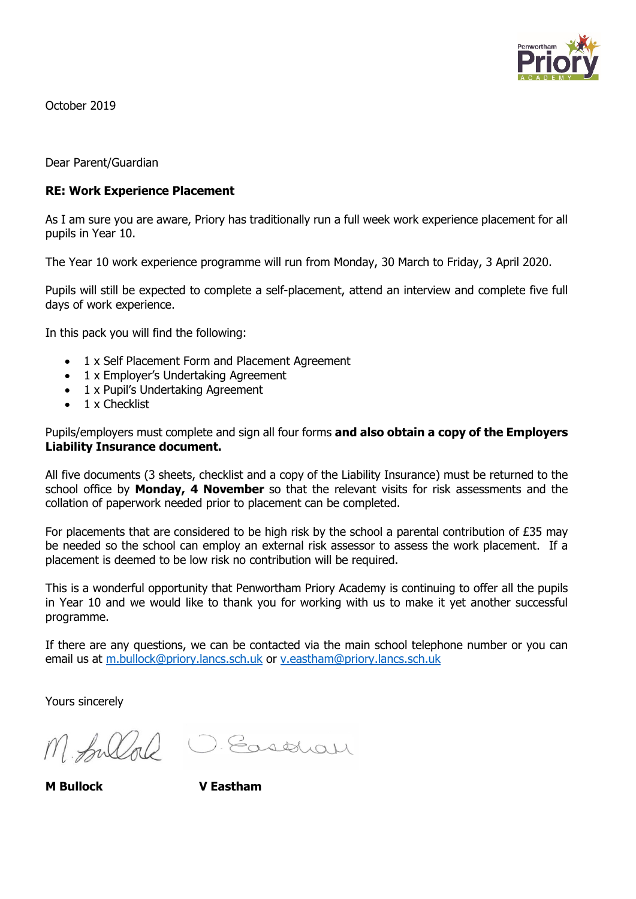

October 2019

Dear Parent/Guardian

### **RE: Work Experience Placement**

As I am sure you are aware, Priory has traditionally run a full week work experience placement for all pupils in Year 10.

The Year 10 work experience programme will run from Monday, 30 March to Friday, 3 April 2020.

Pupils will still be expected to complete a self-placement, attend an interview and complete five full days of work experience.

In this pack you will find the following:

- 1 x Self Placement Form and Placement Agreement
- 1 x Employer's Undertaking Agreement
- 1 x Pupil's Undertaking Agreement
- 1 x Checklist

Pupils/employers must complete and sign all four forms **and also obtain a copy of the Employers Liability Insurance document.**

All five documents (3 sheets, checklist and a copy of the Liability Insurance) must be returned to the school office by **Monday, 4 November** so that the relevant visits for risk assessments and the collation of paperwork needed prior to placement can be completed.

For placements that are considered to be high risk by the school a parental contribution of £35 may be needed so the school can employ an external risk assessor to assess the work placement. If a placement is deemed to be low risk no contribution will be required.

This is a wonderful opportunity that Penwortham Priory Academy is continuing to offer all the pupils in Year 10 and we would like to thank you for working with us to make it yet another successful programme.

If there are any questions, we can be contacted via the main school telephone number or you can email us at [m.bullock@priory.lancs.sch.uk](mailto:m.bullock@priory.lancs.sch.uk) or [v.eastham@priory.lancs.sch.uk](mailto:v.eastham@priory.lancs.sch.uk)

Yours sincerely

M. fullal

D. Easthan

**M Bullock V Eastham**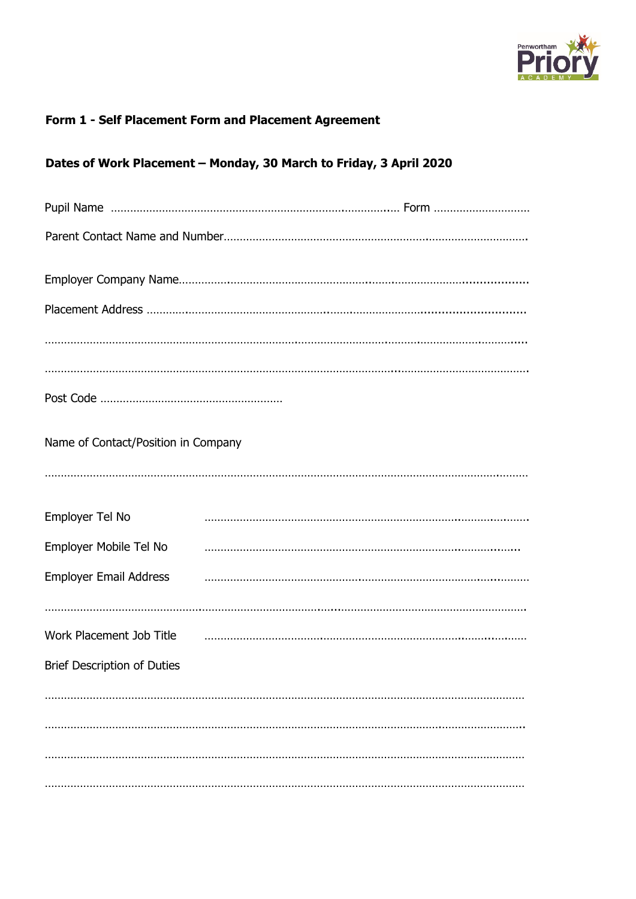

# Form 1 - Self Placement Form and Placement Agreement

|  |  |  | Dates of Work Placement - Monday, 30 March to Friday, 3 April 2020 |
|--|--|--|--------------------------------------------------------------------|
|  |  |  |                                                                    |

| Name of Contact/Position in Company |  |
|-------------------------------------|--|
|                                     |  |
| Employer Tel No                     |  |
| Employer Mobile Tel No              |  |
| <b>Employer Email Address</b>       |  |
|                                     |  |
| Work Placement Job Title            |  |
| <b>Brief Description of Duties</b>  |  |
|                                     |  |
|                                     |  |
|                                     |  |
|                                     |  |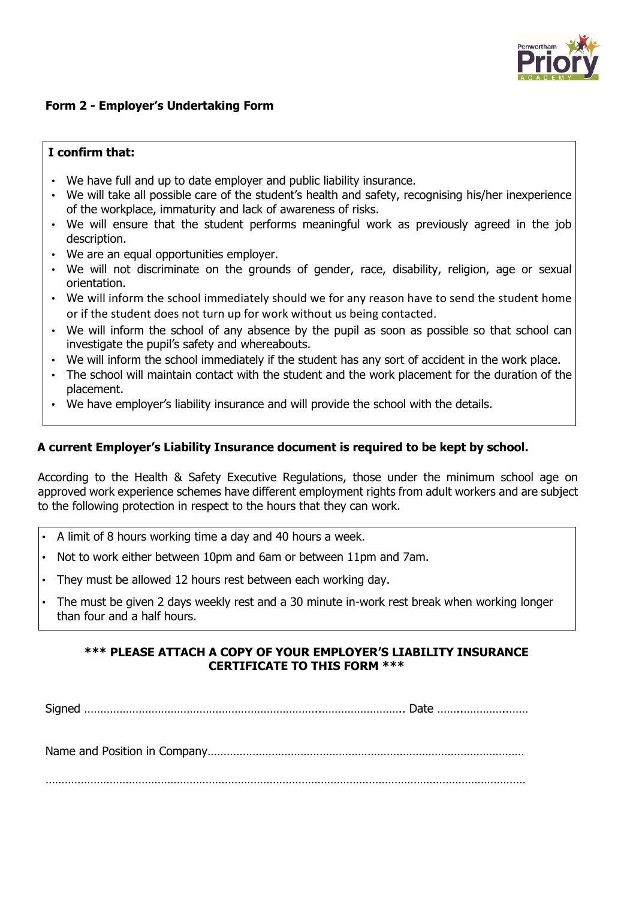

### **Form 2 - Employer's Undertaking Form**

#### **I confirm that:**

- We have full and up to date employer and public liability insurance.
- We will take all possible care of the student's health and safety, recognising his/her inexperience of the workplace, immaturity and lack of awareness of risks.
- We will ensure that the student performs meaningful work as previously agreed in the job description.
- We are an equal opportunities employer.
- We will not discriminate on the grounds of gender, race, disability, religion, age or sexual orientation.
- We will inform the school immediately should we for any reason have to send the student home or if the student does not turn up for work without us being contacted.
- We will inform the school of any absence by the pupil as soon as possible so that school can investigate the pupil's safety and whereabouts.
- We will inform the school immediately if the student has any sort of accident in the work place.
- The school will maintain contact with the student and the work placement for the duration of the placement.
- We have employer's liability insurance and will provide the school with the details.

### **A current Employer's Liability Insurance document is required to be kept by school.**

According to the Health & Safety Executive Regulations, those under the minimum school age on approved work experience schemes have different employment rights from adult workers and are subject to the following protection in respect to the hours that they can work.

- A limit of 8 hours working time a day and 40 hours a week.
- Not to work either between 10pm and 6am or between 11pm and 7am.
- They must be allowed 12 hours rest between each working day.
- The must be given 2 days weekly rest and a 30 minute in-work rest break when working longer than four and a half hours.

### **\*\*\* PLEASE ATTACH A COPY OF YOUR EMPLOYER'S LIABILITY INSURANCE CERTIFICATE TO THIS FORM \*\*\***

Signed ………………………………………………………………..…………………….. Date ……..…………..……

Name and Position in Company………………………………………………………………………………………

……………………………………………………………………………………………………………………………………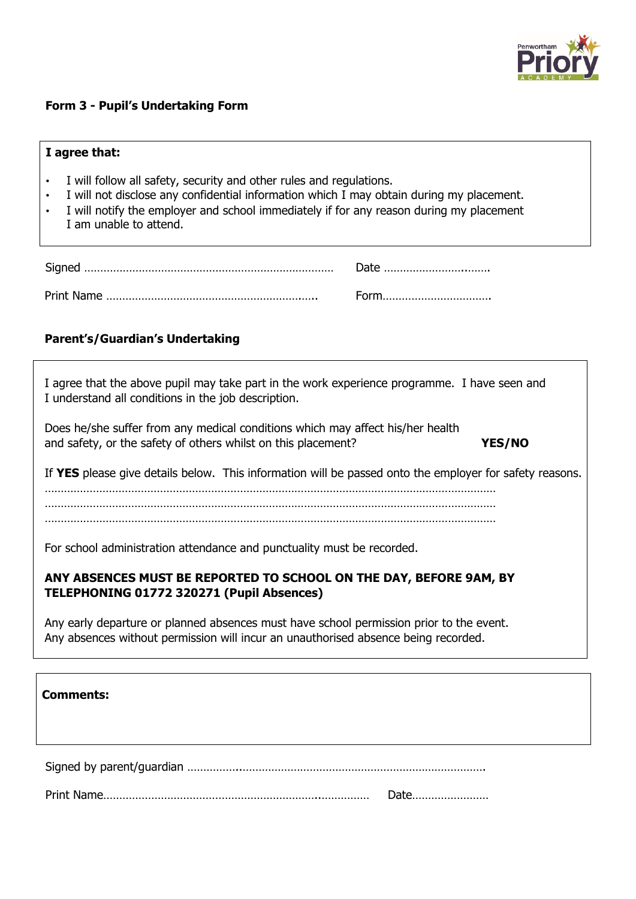

# **Form 3 - Pupil's Undertaking Form**

| I agree that:                                                                                                                                                                                                                                                                                     |  |  |  |  |  |  |
|---------------------------------------------------------------------------------------------------------------------------------------------------------------------------------------------------------------------------------------------------------------------------------------------------|--|--|--|--|--|--|
| I will follow all safety, security and other rules and regulations.<br>$\bullet$<br>I will not disclose any confidential information which I may obtain during my placement.<br>I will notify the employer and school immediately if for any reason during my placement<br>I am unable to attend. |  |  |  |  |  |  |
| Date                                                                                                                                                                                                                                                                                              |  |  |  |  |  |  |
| Form                                                                                                                                                                                                                                                                                              |  |  |  |  |  |  |
| <b>Parent's/Guardian's Undertaking</b>                                                                                                                                                                                                                                                            |  |  |  |  |  |  |
| I agree that the above pupil may take part in the work experience programme. I have seen and<br>I understand all conditions in the job description.                                                                                                                                               |  |  |  |  |  |  |
| Does he/she suffer from any medical conditions which may affect his/her health<br>and safety, or the safety of others whilst on this placement?<br>YES/NO                                                                                                                                         |  |  |  |  |  |  |
| If YES please give details below. This information will be passed onto the employer for safety reasons.                                                                                                                                                                                           |  |  |  |  |  |  |
|                                                                                                                                                                                                                                                                                                   |  |  |  |  |  |  |
| For school administration attendance and punctuality must be recorded.                                                                                                                                                                                                                            |  |  |  |  |  |  |
| ANY ABSENCES MUST BE REPORTED TO SCHOOL ON THE DAY, BEFORE 9AM, BY<br>TELEPHONING 01772 320271 (Pupil Absences)                                                                                                                                                                                   |  |  |  |  |  |  |
| Any early departure or planned absences must have school permission prior to the event.<br>Any absences without permission will incur an unauthorised absence being recorded.                                                                                                                     |  |  |  |  |  |  |
|                                                                                                                                                                                                                                                                                                   |  |  |  |  |  |  |
| <b>Comments:</b>                                                                                                                                                                                                                                                                                  |  |  |  |  |  |  |
|                                                                                                                                                                                                                                                                                                   |  |  |  |  |  |  |

Print Name…………………………………………………………..…………… Date……………………